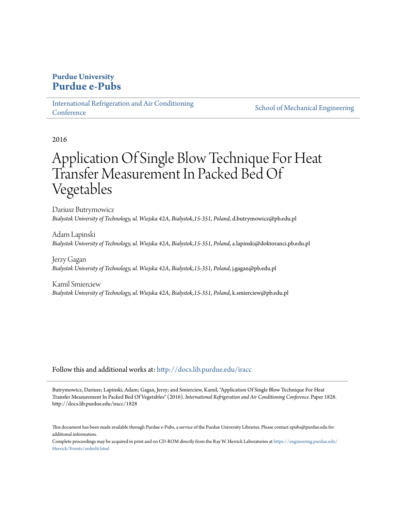# **Purdue University [Purdue e-Pubs](http://docs.lib.purdue.edu?utm_source=docs.lib.purdue.edu%2Firacc%2F1828&utm_medium=PDF&utm_campaign=PDFCoverPages)**

[International Refrigeration and Air Conditioning](http://docs.lib.purdue.edu/iracc?utm_source=docs.lib.purdue.edu%2Firacc%2F1828&utm_medium=PDF&utm_campaign=PDFCoverPages) **[Conference](http://docs.lib.purdue.edu/iracc?utm_source=docs.lib.purdue.edu%2Firacc%2F1828&utm_medium=PDF&utm_campaign=PDFCoverPages)** 

[School of Mechanical Engineering](http://docs.lib.purdue.edu/me?utm_source=docs.lib.purdue.edu%2Firacc%2F1828&utm_medium=PDF&utm_campaign=PDFCoverPages)

2016

# Application Of Single Blow Technique For Heat Transfer Measurement In Packed Bed Of Vegetables

Dariusz Butrymowicz *Bialystok University of Technology, ul. Wiejska 42A, Bialystok,15-351, Poland*, d.butrymowicz@pb.edu.pl

Adam Lapinski *Bialystok University of Technology, ul. Wiejska 42A, Bialystok,15-351, Poland*, a.lapinski@doktoranci.pb.edu.pl

Jerzy Gagan *Bialystok University of Technology, ul. Wiejska 42A, Bialystok,15-351, Poland*, j.gagan@pb.edu.pl

Kamil Smierciew *Bialystok University of Technology, ul. Wiejska 42A, Bialystok,15-351, Poland*, k.smierciew@pb.edu.pl

Follow this and additional works at: [http://docs.lib.purdue.edu/iracc](http://docs.lib.purdue.edu/iracc?utm_source=docs.lib.purdue.edu%2Firacc%2F1828&utm_medium=PDF&utm_campaign=PDFCoverPages)

Butrymowicz, Dariusz; Lapinski, Adam; Gagan, Jerzy; and Smierciew, Kamil, "Application Of Single Blow Technique For Heat Transfer Measurement In Packed Bed Of Vegetables" (2016). *International Refrigeration and Air Conditioning Conference.* Paper 1828. http://docs.lib.purdue.edu/iracc/1828

This document has been made available through Purdue e-Pubs, a service of the Purdue University Libraries. Please contact epubs@purdue.edu for additional information.

Complete proceedings may be acquired in print and on CD-ROM directly from the Ray W. Herrick Laboratories at [https://engineering.purdue.edu/](https://engineering.purdue.edu/Herrick/Events/orderlit.html) [Herrick/Events/orderlit.html](https://engineering.purdue.edu/Herrick/Events/orderlit.html)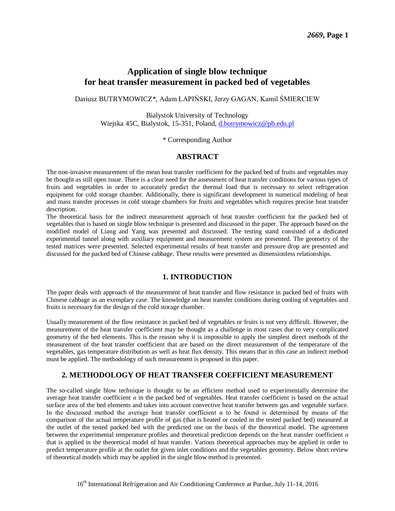## **Application of single blow technique for heat transfer measurement in packed bed of vegetables**

Dariusz BUTRYMOWICZ\*, Adam ŁAPIŃSKI, Jerzy GAGAN, Kamil ŚMIERCIEW

Bialystok University of Technology Wiejska 45C, Bialystok, 15-351, Poland, [d.butrymowicz@pb.edu.pl](mailto:d.butrymowicz@pb.edu.pl)

#### \* Corresponding Author

#### **ABSTRACT**

The non-invasive measurement of the mean heat transfer coefficient for the packed bed of fruits and vegetables may be thought as still open issue. There is a clear need for the assessment of heat transfer conditions for various types of fruits and vegetables in order to accurately predict the thermal load that is necessary to select refrigeration equipment for cold storage chamber. Additionally, there is significant development in numerical modeling of heat and mass transfer processes in cold storage chambers for fruits and vegetables which requires precise heat transfer description.

The theoretical basis for the indirect measurement approach of heat transfer coefficient for the packed bed of vegetables that is based on single blow technique is presented and discussed in the paper. The approach based on the modified model of Liang and Yang was presented and discussed. The testing stand consisted of a dedicated experimental tunnel along with auxiliary equipment and measurement system are presented. The geometry of the tested matrices were presented. Selected experimental results of heat transfer and pressure drop are presented and discussed for the packed bed of Chinese cabbage. These results were presented as dimensionless relationships.

### **1. INTRODUCTION**

The paper deals with approach of the measurement of heat transfer and flow resistance in packed bed of fruits with Chinese cabbage as an exemplary case. The knowledge on heat transfer conditions during cooling of vegetables and fruits is necessary for the design of the cold storage chamber.

Usually measurement of the flow resistance in packed bed of vegetables or fruits is not very difficult. However, the measurement of the heat transfer coefficient may be thought as a challenge in most cases due to very complicated geometry of the bed elements. This is the reason why it is impossible to apply the simplest direct methods of the measurement of the heat transfer coefficient that are based on the direct measurement of the temperature of the vegetables, gas temperature distribution as well as heat flux density. This means that in this case an indirect method must be applied. The methodology of such measurement is proposed in this paper.

#### **2. METHODOLOGY OF HEAT TRANSFER COEFFICIENT MEASUREMENT**

The so-called single blow technique is thought to be an efficient method used to experimentally determine the average heat transfer coefficient *α* in the packed bed of vegetables. Heat transfer coefficient is based on the actual surface area of the bed elements and takes into account convective heat transfer between gas and vegetable surface. In the discussed method the average heat transfer coefficient  $\alpha$  to be found is determined by means of the comparison of the actual temperature profile of gas (that is heated or cooled in the tested packed bed) measured at the outlet of the tested packed bed with the predicted one on the basis of the theoretical model. The agreement between the experimental temperature profiles and theoretical prediction depends on the heat transfer coefficient *α* that is applied in the theoretical model of heat transfer. Various theoretical approaches may be applied in order to predict temperature profile at the outlet for given inlet conditions and the vegetables geometry. Below short review of theoretical models which may be applied in the single blow method is presented.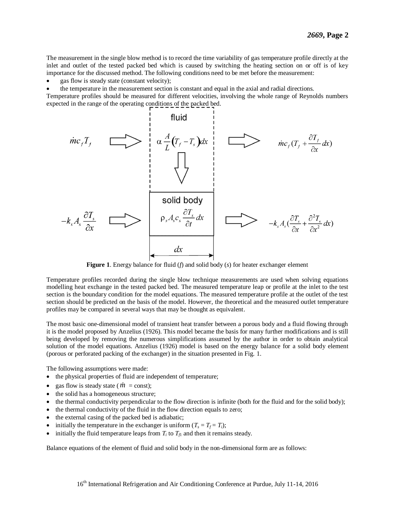The measurement in the single blow method is to record the time variability of gas temperature profile directly at the inlet and outlet of the tested packed bed which is caused by switching the heating section on or off is of key importance for the discussed method. The following conditions need to be met before the measurement:

gas flow is steady state (constant velocity);

the temperature in the measurement section is constant and equal in the axial and radial directions.

Temperature profiles should be measured for different velocities, involving the whole range of Reynolds numbers expected in the range of the operating conditions of the packed bed.



**Figure 1**. Energy balance for fluid (*f*) and solid body (*s*) for heater exchanger element

Temperature profiles recorded during the single blow technique measurements are used when solving equations modelling heat exchange in the tested packed bed. The measured temperature leap or profile at the inlet to the test section is the boundary condition for the model equations. The measured temperature profile at the outlet of the test section should be predicted on the basis of the model. However, the theoretical and the measured outlet temperature profiles may be compared in several ways that may be thought as equivalent.

The most basic one-dimensional model of transient heat transfer between a porous body and a fluid flowing through it is the model proposed by Anzelius (1926). This model became the basis for many further modifications and is still being developed by removing the numerous simplifications assumed by the author in order to obtain analytical solution of the model equations. Anzelius (1926) model is based on the energy balance for a solid body element (porous or perforated packing of the exchanger) in the situation presented in Fig. 1.

The following assumptions were made:

- the physical properties of fluid are independent of temperature;
- gas flow is steady state ( $\dot{m}$  = const);
- the solid has a homogeneous structure;
- the thermal conductivity perpendicular to the flow direction is infinite (both for the fluid and for the solid body);
- the thermal conductivity of the fluid in the flow direction equals to zero;
- the external casing of the packed bed is adiabatic;
- initially the temperature in the exchanger is uniform  $(T_s = T_f = T_i)$ ;
- initially the fluid temperature leaps from  $T_i$  to  $T_f$  and then it remains steady.

Balance equations of the element of fluid and solid body in the non-dimensional form are as follows: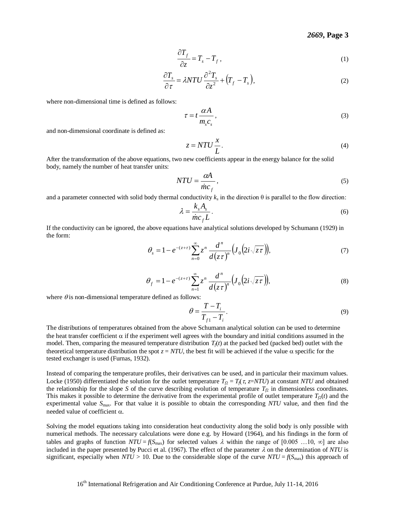$$
\frac{\partial T_f}{\partial z} = T_s - T_f, \qquad (1)
$$

$$
\frac{\partial T_s}{\partial \tau} = \lambda N T U \frac{\partial^2 T_s}{\partial z^2} + \left( T_f - T_s \right),\tag{2}
$$

where non-dimensional time is defined as follows:

$$
\tau = t \frac{\alpha A}{m_s c_s},\tag{3}
$$

and non-dimensional coordinate is defined as:

$$
z = N T U \frac{x}{L}.
$$

After the transformation of the above equations, two new coefficients appear in the energy balance for the solid body, namely the number of heat transfer units:

$$
NTU = \frac{\alpha A}{\dot{m}c_f},\tag{5}
$$

and a parameter connected with solid body thermal conductivity  $k_s$  in the direction  $\theta$  is parallel to the flow direction:

$$
\lambda = \frac{k_s A_s}{\dot{m}c_f L}.
$$
\n(6)

If the conductivity can be ignored, the above equations have analytical solutions developed by Schumann (1929) in the form:

$$
\theta_s = 1 - e^{-(z+\tau)} \sum_{n=0}^{\infty} z^n \frac{d^n}{d(z\tau)^n} \left( J_0 \left( 2i \sqrt{z\tau} \right) \right),\tag{7}
$$

$$
\theta_f = 1 - e^{-(z+\tau)} \sum_{n=1}^{\infty} z^n \frac{d^n}{d(z\tau)^n} \big( J_0 \big( 2i \sqrt{z\tau} \big) \big), \tag{8}
$$

where  $\theta$  is non-dimensional temperature defined as follows:

$$
\theta = \frac{T - T_i}{T_{f1} - T_i}.
$$
\n(9)

The distributions of temperatures obtained from the above Schumann analytical solution can be used to determine the heat transfer coefficient  $\alpha$  if the experiment well agrees with the boundary and initial conditions assumed in the model. Then, comparing the measured temperature distribution  $T_f(t)$  at the packed bed (packed bed) outlet with the theoretical temperature distribution the spot  $z = NTU$ , the best fit will be achieved if the value  $\alpha$  specific for the tested exchanger is used (Furnas, 1932).

Instead of comparing the temperature profiles, their derivatives can be used, and in particular their maximum values. Locke (1950) differentiated the solution for the outlet temperature  $T_1 = T_f(\tau, z=NTU)$  at constant *NTU* and obtained the relationship for the slope *S* of the curve describing evolution of temperature  $T_p$  in dimensionless coordinates. This makes it possible to determine the derivative from the experimental profile of outlet temperature  $T_p(t)$  and the experimental value *S*<sub>max</sub>. For that value it is possible to obtain the corresponding *NTU* value, and then find the needed value of coefficient  $\alpha$ .

Solving the model equations taking into consideration heat conductivity along the solid body is only possible with numerical methods. The necessary calculations were done e.g. by Howard (1964), and his findings in the form of tables and graphs of function  $NTU = f(S_{\text{max}})$  for selected values  $\lambda$  within the range of  $[0.005 \dots 10, \infty]$  are also included in the paper presented by Pucci et al. (1967). The effect of the parameter  $\lambda$  on the determination of *NTU* is significant, especially when  $NTU > 10$ . Due to the considerable slope of the curve  $NTU = f(S_{\text{max}})$  this approach of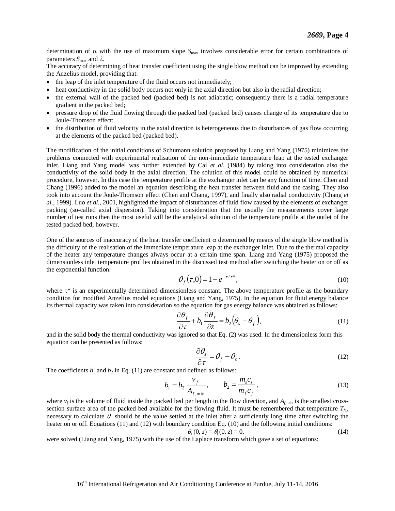determination of  $\alpha$  with the use of maximum slope  $S_{\text{max}}$  involves considerable error for certain combinations of parameters  $S_{\text{max}}$  and  $\lambda$ .

The accuracy of determining of heat transfer coefficient using the single blow method can be improved by extending the Anzelius model, providing that:

- the leap of the inlet temperature of the fluid occurs not immediately;
- heat conductivity in the solid body occurs not only in the axial direction but also in the radial direction;
- the external wall of the packed bed (packed bed) is not adiabatic; consequently there is a radial temperature gradient in the packed bed;
- pressure drop of the fluid flowing through the packed bed (packed bed) causes change of its temperature due to Joule-Thomson effect;
- the distribution of fluid velocity in the axial direction is heterogeneous due to disturbances of gas flow occurring at the elements of the packed bed (packed bed).

The modification of the initial conditions of Schumann solution proposed by Liang and Yang (1975) minimizes the problems connected with experimental realisation of the non-immediate temperature leap at the tested exchanger inlet. Liang and Yang model was further extended by Cai *et al*. (1984) by taking into consideration also the conductivity of the solid body in the axial direction. The solution of this model could be obtained by numerical procedure, however. In this case the temperature profile at the exchanger inlet can be any function of time. Chen and Chang (1996) added to the model an equation describing the heat transfer between fluid and the casing. They also took into account the Joule-Thomson effect (Chen and Chang, 1997), and finally also radial conductivity (Chang *et al.*, 1999). Luo *et al.*, 2001, highlighted the impact of disturbances of fluid flow caused by the elements of exchanger packing (so-called axial dispersion). Taking into consideration that the usually the measurements cover large number of test runs then the most useful will be the analytical solution of the temperature profile at the outlet of the tested packed bed, however.

One of the sources of inaccuracy of the heat transfer coefficient  $\alpha$  determined by means of the single blow method is the difficulty of the realisation of the immediate temperature leap at the exchanger inlet. Due to the thermal capacity of the heater any temperature changes always occur at a certain time span. Liang and Yang (1975) proposed the dimensionless inlet temperature profiles obtained in the discussed test method after switching the heater on or off as the exponential function:

$$
\theta_f(\tau, 0) = 1 - e^{-\tau/\tau^*},\tag{10}
$$

where  $\tau^*$  is an experimentally determined dimensionless constant. The above temperature profile as the boundary condition for modified Anzelius model equations (Liang and Yang, 1975). In the equation for fluid energy balance its thermal capacity was taken into consideration so the equation for gas energy balance was obtained as follows:

$$
\frac{\partial \theta_f}{\partial \tau} + b_1 \frac{\partial \theta_f}{\partial z} = b_2 (\theta_s - \theta_f), \tag{11}
$$

and in the solid body the thermal conductivity was ignored so that Eq. (2) was used. In the dimensionless form this equation can be presented as follows:

$$
\frac{\partial \theta_s}{\partial \tau} = \theta_f - \theta_s \,. \tag{12}
$$

The coefficients  $b_1$  and  $b_2$  in Eq. (11) are constant and defined as follows:

$$
b_1 = b_2 \frac{v_f}{A_{f,\min}}, \qquad b_2 = \frac{m_s c_s}{m_f c_f}, \qquad (13)
$$

where  $v_f$  is the volume of fluid inside the packed bed per length in the flow direction, and  $A_{f,\min}$  is the smallest crosssection surface area of the packed bed available for the flowing fluid. It must be remembered that temperature  $T_f$ , necessary to calculate  $\theta$  should be the value settled at the inlet after a sufficiently long time after switching the heater on or off. Equations (11) and (12) with boundary condition Eq. (10) and the following initial conditions:

$$
\theta_{s}(0, z) = \theta_{f}(0, z) = 0, \qquad (14)
$$

were solved (Liang and Yang, 1975) with the use of the Laplace transform which gave a set of equations: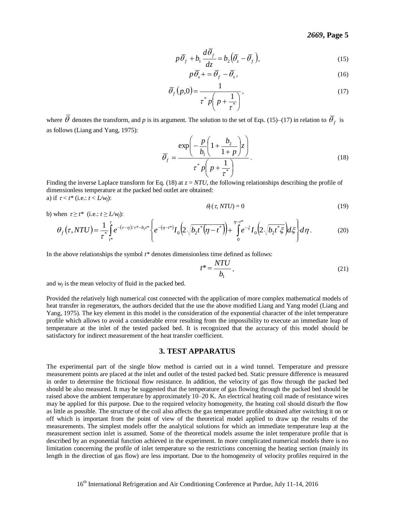$$
p\overline{\theta}_f + b_1 \frac{d\overline{\theta}_f}{dz} = b_2 (\overline{\theta}_s - \overline{\theta}_f),
$$
\n(15)

$$
p\overline{\theta}_s + \overline{\theta}_f - \overline{\theta}_s, \qquad (16)
$$

$$
\overline{\theta}_f(p,0) = \frac{1}{\tau^* p\left(p + \frac{1}{\tau^*}\right)},\tag{17}
$$

where  $\theta$  denotes the transform, and *p* is its argument. The solution to the set of Eqs. (15)–(17) in relation to  $\theta_f$  is as follows (Liang and Yang, 1975):

$$
\overline{\theta}_{f} = \frac{\exp\left(-\frac{p}{b_{1}}\left(1 + \frac{b_{2}}{1 + p}\right)z\right)}{\tau^{*} p\left(p + \frac{1}{\tau^{*}}\right)}.
$$
\n(18)

Finding the inverse Laplace transform for Eq. (18) at  $z = NTU$ , the following relationships describing the profile of dimensionless temperature at the packed bed outlet are obtained: a) if  $\tau < t^*$  (i.e.:  $t < L/w_f$ ):

$$
\theta_f(\tau, NTU) = 0 \tag{19}
$$

b) when  $\tau \geq t^*$  (i.e.:  $t \geq L/w_f$ ):

$$
\theta_f(\tau, NTU) = \frac{1}{\tau^*} \int_{t^*}^{\tau} e^{-(\tau - \eta)/\tau^* - b_2 t^*} \left\{ e^{-(\eta - t^*)} I_0 \left( 2\sqrt{b_2 t^* (\eta - t^*)} \right) + \int_0^{\eta - t^*} e^{-\zeta} I_0 \left( 2\sqrt{b_2 t^* \xi} \right) d\zeta \right\} d\eta. \tag{20}
$$

In the above relationships the symbol *t\** denotes dimensionless time defined as follows:

$$
t^* = \frac{NTU}{b_1},\tag{21}
$$

and  $w_f$  is the mean velocity of fluid in the packed bed.

Provided the relatively high numerical cost connected with the application of more complex mathematical models of heat transfer in regenerators, the authors decided that the use the above modified Liang and Yang model (Liang and Yang, 1975). The key element in this model is the consideration of the exponential character of the inlet temperature profile which allows to avoid a considerable error resulting from the impossibility to execute an immediate leap of temperature at the inlet of the tested packed bed. It is recognized that the accuracy of this model should be satisfactory for indirect measurement of the heat transfer coefficient.

#### **3. TEST APPARATUS**

 $p\vec{\theta}_j + b_j \frac{\vec{a}_T}{dt} = b_j(\vec{\theta}_i - \vec{\theta}_j).$ <br>  $p\vec{\theta}_j \vec{\theta}_j = \frac{1}{\vec{r}^2} \vec{\theta}_j = \frac{1}{\vec{r}^2}$ <br>  $p\vec{\theta}_j \vec{\theta}_j = \frac{1}{\vec{r}^2} \vec{\theta}_j$ <br>
morass the transform, and  $p$  is its argument. The solution to the set of Figs. (15)-(17) i The experimental part of the single blow method is carried out in a wind tunnel. Temperature and pressure measurement points are placed at the inlet and outlet of the tested packed bed. Static pressure difference is measured in order to determine the frictional flow resistance. In addition, the velocity of gas flow through the packed bed should be also measured. It may be suggested that the temperature of gas flowing through the packed bed should be raised above the ambient temperature by approximately 10–20 K. An electrical heating coil made of resistance wires may be applied for this purpose. Due to the required velocity homogeneity, the heating coil should disturb the flow as little as possible. The structure of the coil also affects the gas temperature profile obtained after switching it on or off which is important from the point of view of the theoretical model applied to draw up the results of the measurements. The simplest models offer the analytical solutions for which an immediate temperature leap at the measurement section inlet is assumed. Some of the theoretical models assume the inlet temperature profile that is described by an exponential function achieved in the experiment. In more complicated numerical models there is no limitation concerning the profile of inlet temperature so the restrictions concerning the heating section (mainly its length in the direction of gas flow) are less important. Due to the homogeneity of velocity profiles required in the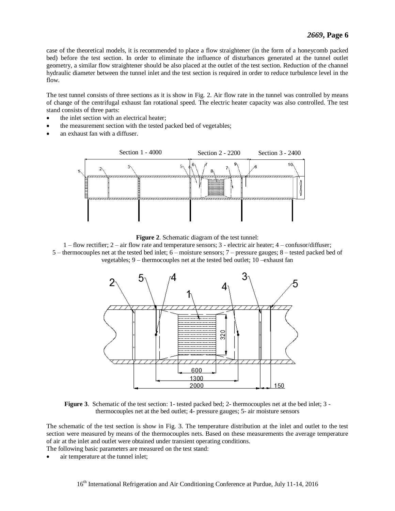case of the theoretical models, it is recommended to place a flow straightener (in the form of a honeycomb packed bed) before the test section. In order to eliminate the influence of disturbances generated at the tunnel outlet geometry, a similar flow straightener should be also placed at the outlet of the test section. Reduction of the channel hydraulic diameter between the tunnel inlet and the test section is required in order to reduce turbulence level in the flow.

The test tunnel consists of three sections as it is show in Fig. 2. Air flow rate in the tunnel was controlled by means of change of the centrifugal exhaust fan rotational speed. The electric heater capacity was also controlled. The test stand consists of three parts:

- the inlet section with an electrical heater;
- the measurement section with the tested packed bed of vegetables;
- an exhaust fan with a diffuser.



**Figure 2**. Schematic diagram of the test tunnel:

1 – flow rectifier; 2 – air flow rate and temperature sensors; 3 - electric air heater; 4 – confusor/diffuser; 5 – thermocouples net at the tested bed inlet; 6 – moisture sensors; 7 – pressure gauges; 8 – tested packed bed of vegetables; 9 – thermocouples net at the tested bed outlet; 10 –exhaust fan



**Figure 3**. Schematic of the test section: 1- tested packed bed; 2- thermocouples net at the bed inlet; 3 thermocouples net at the bed outlet; 4- pressure gauges; 5- air moisture sensors

The schematic of the test section is show in Fig. 3. The temperature distribution at the inlet and outlet to the test section were measured by means of the thermocouples nets. Based on these measurements the average temperature of air at the inlet and outlet were obtained under transient operating conditions.

The following basic parameters are measured on the test stand:

air temperature at the tunnel inlet;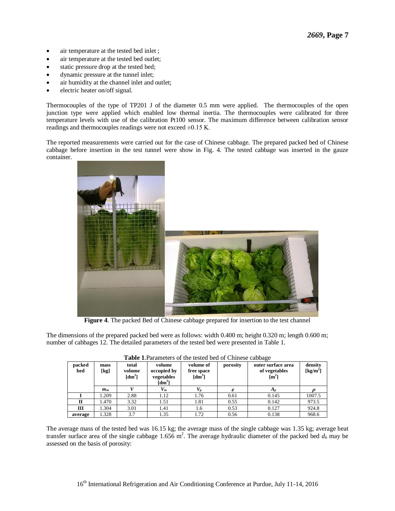- air temperature at the tested bed inlet;
- air temperature at the tested bed outlet;
- static pressure drop at the tested bed;
- dynamic pressure at the tunnel inlet;
- air humidity at the channel inlet and outlet;
- electric heater on/off signal.

Thermocouples of the type of TP201 J of the diameter 0.5 mm were applied. The thermocouples of the open junction type were applied which enabled low thermal inertia. The thermocouples were calibrated for three temperature levels with use of the calibration Pt100 sensor. The maximum difference between calibration sensor readings and thermocouples readings were not exceed  $\pm 0.15$  K.

The reported measurements were carried out for the case of Chinese cabbage. The prepared packed bed of Chinese cabbage before insertion in the test tunnel were show in Fig. 4. The tested cabbage was inserted in the gauze container.



**Figure 4**. The packed Bed of Chinese cabbage prepared for insertion to the test channel

The dimensions of the prepared packed bed were as follows: width 0.400 m; height 0.320 m; length 0.600 m; number of cabbages 12. The detailed parameters of the tested bed were presented in Table 1.

| <b>THOIC</b> I.I didingtons of the tested oca of Chinese educate |              |                                                |                                                 |                                                        |          |                                                            |                                 |
|------------------------------------------------------------------|--------------|------------------------------------------------|-------------------------------------------------|--------------------------------------------------------|----------|------------------------------------------------------------|---------------------------------|
| packed<br>bed                                                    | mass<br>[kg] | total<br>volume<br>$\lceil \text{dm}^3 \rceil$ | volume<br>occupied by<br>vegetables<br>$[dm^3]$ | volume of<br>free space<br>$\lceil \text{dm}^3 \rceil$ | porosity | outer surface area<br>of vegetables<br>$\lceil m^2 \rceil$ | density<br>[kg/m <sup>3</sup> ] |
|                                                                  | $m_m$        |                                                | $V_m$                                           |                                                        |          | $n_n$                                                      |                                 |
|                                                                  | 1.209        | 2.88                                           | 1.12                                            | 1.76                                                   | 0.61     | 0.145                                                      | 1007.5                          |
| п                                                                | 1.470        | 3.32                                           | 1.51                                            | 1.81                                                   | 0.55     | 0.142                                                      | 973.5                           |
| Ш                                                                | 1.304        | 3.01                                           | 1.41                                            | 1.6                                                    | 0.53     | 0.127                                                      | 924.8                           |
| average                                                          | 1.328        | 3.7                                            | 1.35                                            | 1.72                                                   | 0.56     | 0.138                                                      | 968.6                           |

|  |  | Table 1. Parameters of the tested bed of Chinese cabbage |  |  |  |  |  |  |
|--|--|----------------------------------------------------------|--|--|--|--|--|--|
|--|--|----------------------------------------------------------|--|--|--|--|--|--|

The average mass of the tested bed was 16.15 kg; the average mass of the single cabbage was 1.35 kg; average heat transfer surface area of the single cabbage 1.656 m<sup>2</sup>. The average hydraulic diameter of the packed bed  $d_h$  may be assessed on the basis of porosity: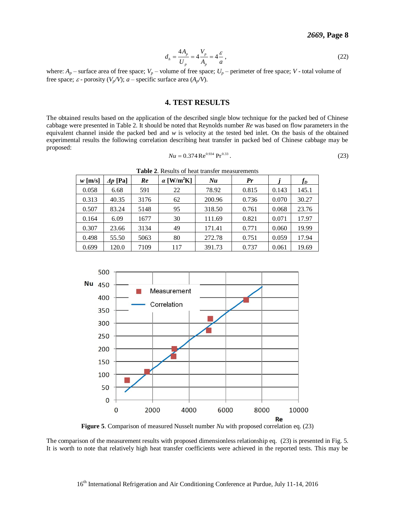$$
d_h = \frac{4A_p}{U_p} = 4\frac{V_p}{A_p} = 4\frac{\varepsilon}{a},
$$
\n(22)

where:  $A_p$  – surface area of free space;  $V_p$  – volume of free space;  $U_p$  – perimeter of free space;  $V$  - total volume of free space;  $\varepsilon$  - porosity  $(V_p/V)$ ;  $a$  – specific surface area  $(A_p/V)$ .

#### **4. TEST RESULTS**

The obtained results based on the application of the described single blow technique for the packed bed of Chinese cabbage were presented in Table 2. It should be noted that Reynolds number *Re* was based on flow parameters in the equivalent channel inside the packed bed and *w* is velocity at the tested bed inlet. On the basis of the obtained experimental results the following correlation describing heat transfer in packed bed of Chinese cabbage may be proposed:

$$
Nu = 0.374 \,\text{Re}^{0.934} \,\text{Pr}^{0.33} \,. \tag{23}
$$

| <b>Tuble 2.</b> Instally of figure trailers fillowship children |                 |      |                               |        |       |       |         |
|-----------------------------------------------------------------|-----------------|------|-------------------------------|--------|-------|-------|---------|
| $w$ [m/s]                                                       | $\Delta p$ [Pa] | Re   | $\alpha$ [W/m <sup>2</sup> K] | Nu     | Pr    |       | $f_D\,$ |
| 0.058                                                           | 6.68            | 591  | 22                            | 78.92  | 0.815 | 0.143 | 145.1   |
| 0.313                                                           | 40.35           | 3176 | 62                            | 200.96 | 0.736 | 0.070 | 30.27   |
| 0.507                                                           | 83.24           | 5148 | 95                            | 318.50 | 0.761 | 0.068 | 23.76   |
| 0.164                                                           | 6.09            | 1677 | 30                            | 111.69 | 0.821 | 0.071 | 17.97   |
| 0.307                                                           | 23.66           | 3134 | 49                            | 171.41 | 0.771 | 0.060 | 19.99   |
| 0.498                                                           | 55.50           | 5063 | 80                            | 272.78 | 0.751 | 0.059 | 17.94   |
| 0.699                                                           | 120.0           | 7109 | 117                           | 391.73 | 0.737 | 0.061 | 19.69   |

**Table 2**. Results of heat transfer measurements



**Figure 5**. Comparison of measured Nusselt number *Nu* with proposed correlation eq. (23)

The comparison of the measurement results with proposed dimensionless relationship eq. (23) is presented in Fig. 5. It is worth to note that relatively high heat transfer coefficients were achieved in the reported tests. This may be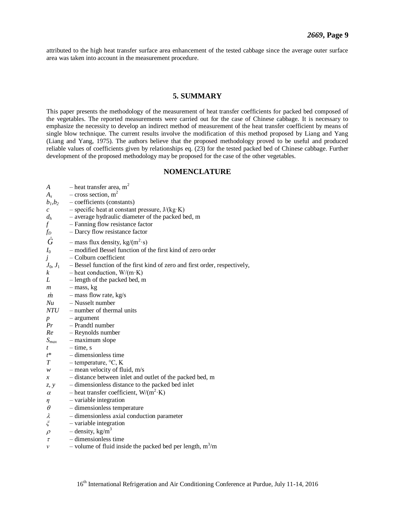attributed to the high heat transfer surface area enhancement of the tested cabbage since the average outer surface area was taken into account in the measurement procedure.

#### **5. SUMMARY**

This paper presents the methodology of the measurement of heat transfer coefficients for packed bed composed of the vegetables. The reported measurements were carried out for the case of Chinese cabbage. It is necessary to emphasize the necessity to develop an indirect method of measurement of the heat transfer coefficient by means of single blow technique. The current results involve the modification of this method proposed by Liang and Yang (Liang and Yang, 1975). The authors believe that the proposed methodology proved to be useful and produced reliable values of coefficients given by relationships eq. (23) for the tested packed bed of Chinese cabbage. Further development of the proposed methodology may be proposed for the case of the other vegetables.

#### **NOMENCLATURE**

| A                  | $-$ heat transfer area, m <sup>2</sup>                                                                                            |
|--------------------|-----------------------------------------------------------------------------------------------------------------------------------|
| $A_{s}$            | $-$ cross section, m <sup>2</sup>                                                                                                 |
|                    | $b_1, b_2$ – coefficients (constants)                                                                                             |
| $\mathcal{C}$      | $-$ specific heat at constant pressure, $J/(kg·K)$                                                                                |
| $d_h$              | - average hydraulic diameter of the packed bed, m                                                                                 |
| f                  | - Fanning flow resistance factor                                                                                                  |
| $f_D$              | - Darcy flow resistance factor                                                                                                    |
| $\overline{G}$     | - mass flux density, kg/( $m^2$ ·s)                                                                                               |
| $I_0$              | - modified Bessel function of the first kind of zero order                                                                        |
| $\dot{I}$          | $-$ Colburn coefficient                                                                                                           |
|                    | $J_{0}, J_{1}$ - Colburn coefficient<br>$J_{0}, J_{1}$ - Bessel function of the first kind of zero and first order, respectively, |
| $\mathbf{k}$       | $-$ heat conduction, W/(m·K)                                                                                                      |
| L                  | - length of the packed bed, m                                                                                                     |
|                    | $m$ – mass, kg                                                                                                                    |
|                    | $\dot{m}$ – mass flow rate, kg/s                                                                                                  |
|                    | $Nu$ - Nusselt number                                                                                                             |
|                    | $NTU$ – number of thermal units                                                                                                   |
| $p_{\parallel}$    | - argument<br>- Prandtl number                                                                                                    |
| Pr                 |                                                                                                                                   |
|                    | $Re$ – Reynolds number                                                                                                            |
|                    | $S_{max}$ – maximum slope                                                                                                         |
| t                  | $-$ time, s                                                                                                                       |
| $t^*$              | $-$ dimensionless time                                                                                                            |
| T                  | – temperature, $\mathrm{C}$ , K                                                                                                   |
| w                  | $-$ mean velocity of fluid, m/s                                                                                                   |
| $\boldsymbol{x}$   | - distance between inlet and outlet of the packed bed, m                                                                          |
| z, y               | - dimensionless distance to the packed bed inlet                                                                                  |
| $\alpha$           | - heat transfer coefficient, $W/(m^2 \cdot K)$                                                                                    |
| $\eta$             | $-$ variable integration                                                                                                          |
| $\theta$           | - dimensionless temperature                                                                                                       |
| λ                  | - dimensionless axial conduction parameter                                                                                        |
| $\boldsymbol{\xi}$ | $-$ variable integration                                                                                                          |
| $\rho$             | $-\text{density, kg/m}^3$                                                                                                         |
| $\tau$             | $-$ dimensionless time                                                                                                            |
| $\mathcal V$       | - volume of fluid inside the packed bed per length, $m^3/m$                                                                       |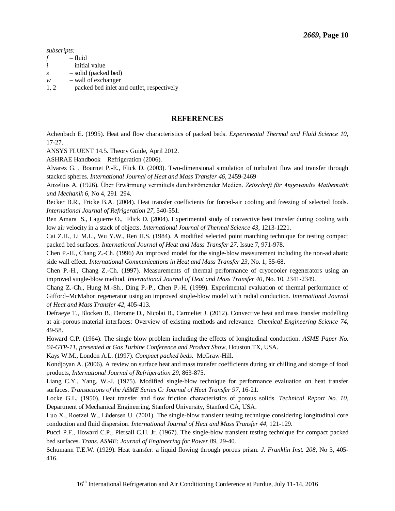*subscripts:*

- $f$  fluid
- $i$  initial value
- *s* solid (packed bed)
- *w* wall of exchanger
- 1, 2 packed bed inlet and outlet, respectively

#### **REFERENCES**

Achenbach E. (1995). Heat and flow characteristics of packed beds. *Experimental Thermal and Fluid Science 10*, 17-27.

ANSYS FLUENT 14.5. Theory Guide, April 2012.

ASHRAE Handbook – Refrigeration (2006).

Alvarez G. , Bournet P.-E., Flick D. (2003). Two-dimensional simulation of turbulent flow and transfer through stacked spheres*. International Journal of Heat and Mass Transfer 46*, 2459-2469

Anzelius A. (1926). Über Erwärmung vermittels durchströmender Medien. *Zeitschrift für Angewandte Mathematik und Mechanik 6*, No 4, 291–294.

Becker B.R., Fricke B.A. (2004). Heat transfer coefficients for forced-air cooling and freezing of selected foods. *International Journal of Refrigeration 27*, 540-551.

Ben Amara S., Laguerre O., Flick D. (2004). Experimental study of convective heat transfer during cooling with low air velocity in a stack of objects. *International Journal of Thermal Science 43*, 1213-1221.

Cai Z.H., Li M.L., Wu Y.W., Ren H.S. (1984). A modified selected point matching technique for testing compact packed bed surfaces. *International Journal of Heat and Mass Transfer 27*, Issue 7, 971-978.

Chen P.-H., Chang Z.-Ch. (1996) An improved model for the single-blow measurement including the non-adiabatic side wall effect. *International Communications in Heat and Mass Transfer 23*, No. 1, 55-68.

Chen P.-H., Chang Z.-Ch. (1997). Measurements of thermal performance of cryocooler regenerators using an improved single-blow method. *International Journal of Heat and Mass Transfer 40*, No. 10, 2341-2349.

Chang Z.-Ch., Hung M.-Sh., Ding P.-P., Chen P.-H. (1999). Experimental evaluation of thermal performance of Gifford–McMahon regenerator using an improved single-blow model with radial conduction. *International Journal of Heat and Mass Transfer 42*, 405-413.

Defraeye T., Blocken B., Derome D., Nicolai B., Carmeliet J. (2012). Convective heat and mass transfer modelling at air-porous material interfaces: Overview of existing methods and relevance. *Chemical Engineering Science 74*, 49-58.

Howard C.P. (1964). The single blow problem including the effects of longitudinal conduction. *ASME Paper No. 64-GTP-11, presented at Gas Turbine Conference and Product Show*, Houston TX, USA.

Kays W.M., London A.L. (1997). *Compact packed beds.* McGraw-Hill.

Kondjoyan A. (2006). A review on surface heat and mass transfer coefficients during air chilling and storage of food products, *International Journal of Refrigeration 29*, 863-875.

Liang C.Y., Yang. W.-J. (1975). Modified single-blow technique for performance evaluation on heat transfer surfaces. *Transactions of the ASME Series C: Journal of Heat Transfer 97*, 16-21.

Locke G.L. (1950). Heat transfer and flow friction characteristics of porous solids. *Technical Report No. 10*, Department of Mechanical Engineering, Stanford University, Stanford CA, USA.

Luo X., Roetzel W., Lüdersen U. (2001). The single-blow transient testing technique considering longitudinal core conduction and fluid dispersion. *International Journal of Heat and Mass Transfer 44*, 121-129.

Pucci P.F., Howard C.P., Piersall C.H. Jr. (1967). The single-blow transient testing technique for compact packed bed surfaces. *Trans. ASME: Journal of Engineering for Power 89*, 29-40.

Schumann T.E.W. (1929). Heat transfer: a liquid flowing through porous prism. *J. Franklin Inst. 208*, No 3, 405- 416.